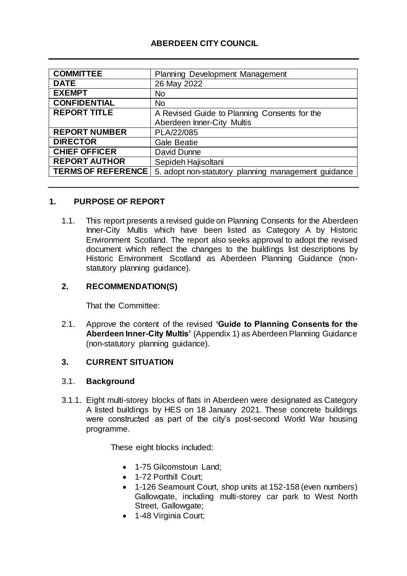### **ABERDEEN CITY COUNCIL**

| <b>COMMITTEE</b>          | <b>Planning Development Management</b>              |
|---------------------------|-----------------------------------------------------|
| <b>DATE</b>               | 26 May 2022                                         |
| <b>EXEMPT</b>             | <b>No</b>                                           |
| <b>CONFIDENTIAL</b>       | <b>No</b>                                           |
| <b>REPORT TITLE</b>       | A Revised Guide to Planning Consents for the        |
|                           | Aberdeen Inner-City Multis                          |
| <b>REPORT NUMBER</b>      | PLA/22/085                                          |
| <b>DIRECTOR</b>           | <b>Gale Beatie</b>                                  |
| <b>CHIEF OFFICER</b>      | David Dunne                                         |
| <b>REPORT AUTHOR</b>      | Sepideh Hajisoltani                                 |
| <b>TERMS OF REFERENCE</b> | 5. adopt non-statutory planning management guidance |

### **1. PURPOSE OF REPORT**

1.1. This report presents a revised guide on Planning Consents for the Aberdeen Inner-City Multis which have been listed as Category A by Historic Environment Scotland. The report also seeks approval to adopt the revised document which reflect the changes to the buildings list descriptions by Historic Environment Scotland as Aberdeen Planning Guidance (nonstatutory planning guidance).

### **2. RECOMMENDATION(S)**

That the Committee:

2.1. Approve the content of the revised **'Guide to Planning Consents for the Aberdeen Inner-City Multis'** (Appendix 1) as Aberdeen Planning Guidance (non-statutory planning guidance).

### **3. CURRENT SITUATION**

### 3.1. **Background**

3.1.1. Eight multi-storey blocks of flats in Aberdeen were designated as Category A listed buildings by HES on 18 January 2021. These concrete buildings were constructed as part of the city's post-second World War housing programme.

These eight blocks included:

- 1-75 Gilcomstoun Land;
- 1-72 Porthill Court:
- 1-126 Seamount Court, shop units at 152-158 (even numbers) Gallowgate, including multi-storey car park to West North Street, Gallowgate;
- 1-48 Virginia Court;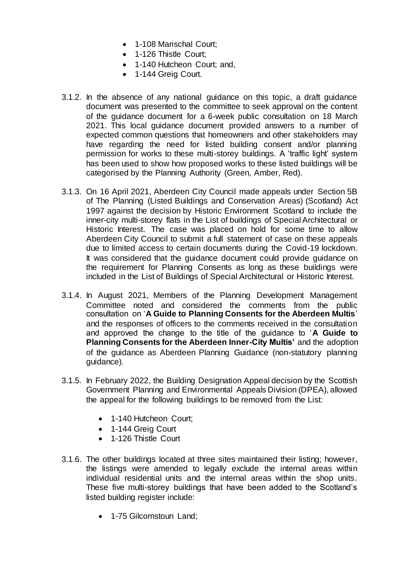- 1-108 Marischal Court:
- 1-126 Thistle Court;
- 1-140 Hutcheon Court; and,
- 1-144 Greig Court.
- 3.1.2. In the absence of any national guidance on this topic, a draft guidance document was presented to the committee to seek approval on the content of the guidance document for a 6-week public consultation on 18 March 2021. This local guidance document provided answers to a number of expected common questions that homeowners and other stakeholders may have regarding the need for listed building consent and/or planning permission for works to these multi-storey buildings. A 'traffic light' system has been used to show how proposed works to these listed buildings will be categorised by the Planning Authority (Green, Amber, Red).
- 3.1.3. On 16 April 2021, Aberdeen City Council made appeals under Section 5B of The Planning (Listed Buildings and Conservation Areas) (Scotland) Act 1997 against the decision by Historic Environment Scotland to include the inner-city multi-storey flats in the List of buildings of Special Architectural or Historic Interest. The case was placed on hold for some time to allow Aberdeen City Council to submit a full statement of case on these appeals due to limited access to certain documents during the Covid-19 lockdown. It was considered that the guidance document could provide guidance on the requirement for Planning Consents as long as these buildings were included in the List of Buildings of Special Architectural or Historic Interest.
- 3.1.4. In August 2021, Members of the Planning Development Management Committee noted and considered the comments from the public consultation on '**A Guide to Planning Consents for the Aberdeen Multis**' and the responses of officers to the comments received in the consultation and approved the change to the title of the guidance to '**A Guide to Planning Consents for the Aberdeen Inner-City Multis'** and the adoption of the guidance as Aberdeen Planning Guidance (non-statutory planning guidance).
- 3.1.5. In February 2022, the Building Designation Appeal decision by the Scottish Government Planning and Environmental Appeals Division (DPEA), allowed the appeal for the following buildings to be removed from the List:
	- 1-140 Hutcheon Court;
	- 1-144 Greig Court
	- 1-126 Thistle Court
- 3.1.6. The other buildings located at three sites maintained their listing; however, the listings were amended to legally exclude the internal areas within individual residential units and the internal areas within the shop units. These five multi-storey buildings that have been added to the Scotland's listed building register include:
	- 1-75 Gilcomstoun Land;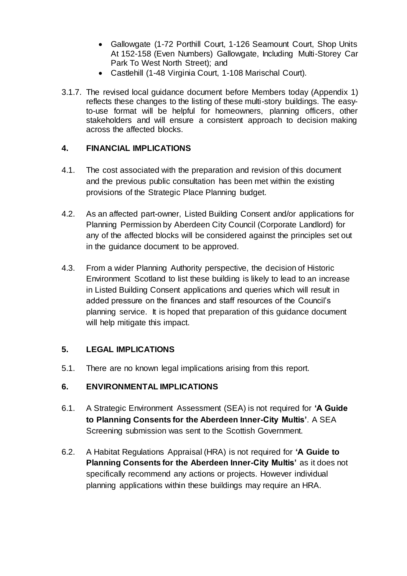- Gallowgate (1-72 Porthill Court, 1-126 Seamount Court, Shop Units At 152-158 (Even Numbers) Gallowgate, Including Multi-Storey Car Park To West North Street); and
- Castlehill (1-48 Virginia Court, 1-108 Marischal Court).
- 3.1.7. The revised local guidance document before Members today (Appendix 1) reflects these changes to the listing of these multi-story buildings. The easyto-use format will be helpful for homeowners, planning officers, other stakeholders and will ensure a consistent approach to decision making across the affected blocks.

### **4. FINANCIAL IMPLICATIONS**

- 4.1. The cost associated with the preparation and revision of this document and the previous public consultation has been met within the existing provisions of the Strategic Place Planning budget.
- 4.2. As an affected part-owner, Listed Building Consent and/or applications for Planning Permission by Aberdeen City Council (Corporate Landlord) for any of the affected blocks will be considered against the principles set out in the guidance document to be approved.
- 4.3. From a wider Planning Authority perspective, the decision of Historic Environment Scotland to list these building is likely to lead to an increase in Listed Building Consent applications and queries which will result in added pressure on the finances and staff resources of the Council's planning service. It is hoped that preparation of this guidance document will help mitigate this impact.

# **5. LEGAL IMPLICATIONS**

5.1. There are no known legal implications arising from this report.

### **6. ENVIRONMENTAL IMPLICATIONS**

- 6.1. A Strategic Environment Assessment (SEA) is not required for **'A Guide to Planning Consents for the Aberdeen Inner-City Multis'**. A SEA Screening submission was sent to the Scottish Government.
- 6.2. A Habitat Regulations Appraisal (HRA) is not required for **'A Guide to Planning Consents for the Aberdeen Inner-City Multis'** as it does not specifically recommend any actions or projects. However individual planning applications within these buildings may require an HRA.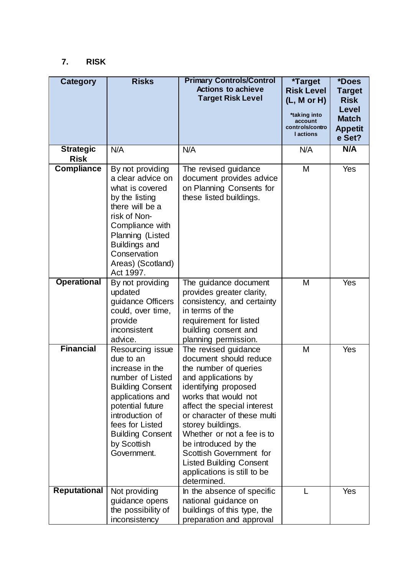# **7. RISK**

| <b>Category</b>                 | <b>Risks</b>                                                                                                                                                                                                                           | <b>Primary Controls/Control</b><br><b>Actions to achieve</b><br><b>Target Risk Level</b>                                                                                                                                                                                                                                                                                                           | <i><b>*Target</b></i><br><b>Risk Level</b><br>(L, M or H)<br>*taking into<br>account<br>controls/contro<br><b>l</b> actions | *Does<br><b>Target</b><br><b>Risk</b><br><b>Level</b><br><b>Match</b><br><b>Appetit</b><br>e Set? |
|---------------------------------|----------------------------------------------------------------------------------------------------------------------------------------------------------------------------------------------------------------------------------------|----------------------------------------------------------------------------------------------------------------------------------------------------------------------------------------------------------------------------------------------------------------------------------------------------------------------------------------------------------------------------------------------------|-----------------------------------------------------------------------------------------------------------------------------|---------------------------------------------------------------------------------------------------|
| <b>Strategic</b><br><b>Risk</b> | N/A                                                                                                                                                                                                                                    | N/A                                                                                                                                                                                                                                                                                                                                                                                                | N/A                                                                                                                         | N/A                                                                                               |
| <b>Compliance</b>               | By not providing<br>a clear advice on<br>what is covered<br>by the listing<br>there will be a<br>risk of Non-<br>Compliance with<br>Planning (Listed<br><b>Buildings and</b><br>Conservation<br>Areas) (Scotland)<br>Act 1997.         | The revised guidance<br>document provides advice<br>on Planning Consents for<br>these listed buildings.                                                                                                                                                                                                                                                                                            | M                                                                                                                           | Yes                                                                                               |
| <b>Operational</b>              | By not providing<br>updated<br>guidance Officers<br>could, over time,<br>provide<br>inconsistent<br>advice.                                                                                                                            | The guidance document<br>provides greater clarity,<br>consistency, and certainty<br>in terms of the<br>requirement for listed<br>building consent and<br>planning permission.                                                                                                                                                                                                                      | M                                                                                                                           | Yes                                                                                               |
| <b>Financial</b>                | Resourcing issue<br>due to an<br>increase in the<br>number of Listed<br><b>Building Consent</b><br>applications and<br>potential future<br>introduction of<br>fees for Listed<br><b>Building Consent</b><br>by Scottish<br>Government. | The revised guidance<br>document should reduce<br>the number of queries<br>and applications by<br>identifying proposed<br>works that would not<br>affect the special interest<br>or character of these multi<br>storey buildings.<br>Whether or not a fee is to<br>be introduced by the<br>Scottish Government for<br><b>Listed Building Consent</b><br>applications is still to be<br>determined. | M                                                                                                                           | Yes                                                                                               |
| <b>Reputational</b>             | Not providing<br>guidance opens<br>the possibility of<br>inconsistency                                                                                                                                                                 | In the absence of specific<br>national guidance on<br>buildings of this type, the<br>preparation and approval                                                                                                                                                                                                                                                                                      |                                                                                                                             | Yes                                                                                               |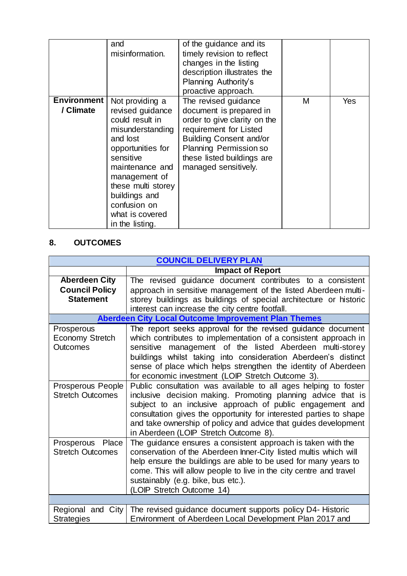|                                 | and<br>misinformation.                                                                                                                                                                                                                                    | of the guidance and its<br>timely revision to reflect<br>changes in the listing<br>description illustrates the<br>Planning Authority's<br>proactive approach.                                                               |   |     |
|---------------------------------|-----------------------------------------------------------------------------------------------------------------------------------------------------------------------------------------------------------------------------------------------------------|-----------------------------------------------------------------------------------------------------------------------------------------------------------------------------------------------------------------------------|---|-----|
| <b>Environment</b><br>/ Climate | Not providing a<br>revised guidance<br>could result in<br>misunderstanding<br>and lost<br>opportunities for<br>sensitive<br>maintenance and<br>management of<br>these multi storey<br>buildings and<br>confusion on<br>what is covered<br>in the listing. | The revised guidance<br>document is prepared in<br>order to give clarity on the<br>requirement for Listed<br><b>Building Consent and/or</b><br>Planning Permission so<br>these listed buildings are<br>managed sensitively. | М | Yes |

# **8. OUTCOMES**

| <b>COUNCIL DELIVERY PLAN</b>                                      |                                                                                                                                                                                                                                                                                                                                                                                     |  |  |
|-------------------------------------------------------------------|-------------------------------------------------------------------------------------------------------------------------------------------------------------------------------------------------------------------------------------------------------------------------------------------------------------------------------------------------------------------------------------|--|--|
|                                                                   | <b>Impact of Report</b>                                                                                                                                                                                                                                                                                                                                                             |  |  |
| <b>Aberdeen City</b><br><b>Council Policy</b><br><b>Statement</b> | The revised guidance document contributes to a consistent<br>approach in sensitive management of the listed Aberdeen multi-<br>storey buildings as buildings of special architecture or historic<br>interest can increase the city centre footfall.                                                                                                                                 |  |  |
|                                                                   | <b>Aberdeen City Local Outcome Improvement Plan Themes</b>                                                                                                                                                                                                                                                                                                                          |  |  |
| Prosperous<br><b>Economy Stretch</b><br><b>Outcomes</b>           | The report seeks approval for the revised guidance document<br>which contributes to implementation of a consistent approach in<br>sensitive management of the listed Aberdeen multi-storey<br>buildings whilst taking into consideration Aberdeen's distinct<br>sense of place which helps strengthen the identity of Aberdeen<br>for economic investment (LOIP Stretch Outcome 3). |  |  |
| Prosperous People<br><b>Stretch Outcomes</b>                      | Public consultation was available to all ages helping to foster<br>inclusive decision making. Promoting planning advice that is<br>subject to an inclusive approach of public engagement and<br>consultation gives the opportunity for interested parties to shape<br>and take ownership of policy and advice that guides development<br>in Aberdeen (LOIP Stretch Outcome 8).      |  |  |
| Prosperous Place<br><b>Stretch Outcomes</b>                       | The guidance ensures a consistent approach is taken with the<br>conservation of the Aberdeen Inner-City listed multis which will<br>help ensure the buildings are able to be used for many years to<br>come. This will allow people to live in the city centre and travel<br>sustainably (e.g. bike, bus etc.).<br>(LOIP Stretch Outcome 14)                                        |  |  |
|                                                                   |                                                                                                                                                                                                                                                                                                                                                                                     |  |  |
| Regional and City<br><b>Strategies</b>                            | The revised guidance document supports policy D4- Historic<br>Environment of Aberdeen Local Development Plan 2017 and                                                                                                                                                                                                                                                               |  |  |